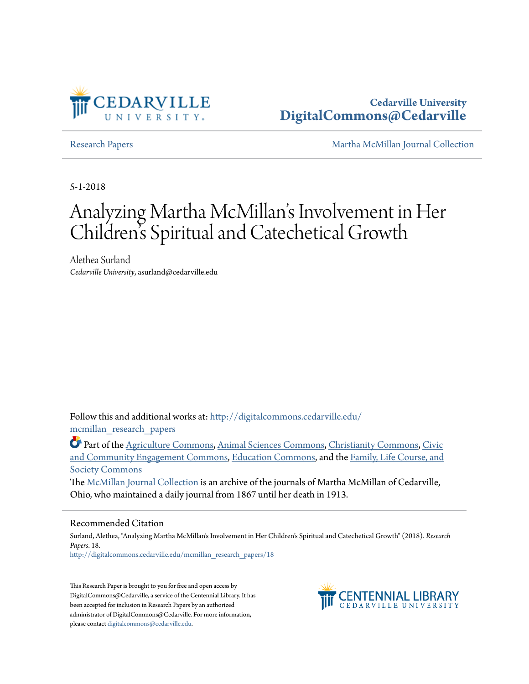

## **Cedarville University [DigitalCommons@Cedarville](http://digitalcommons.cedarville.edu?utm_source=digitalcommons.cedarville.edu%2Fmcmillan_research_papers%2F18&utm_medium=PDF&utm_campaign=PDFCoverPages)**

[Research Papers](http://digitalcommons.cedarville.edu/mcmillan_research_papers?utm_source=digitalcommons.cedarville.edu%2Fmcmillan_research_papers%2F18&utm_medium=PDF&utm_campaign=PDFCoverPages) [Martha McMillan Journal Collection](http://digitalcommons.cedarville.edu/mcmillan_journal_collection?utm_source=digitalcommons.cedarville.edu%2Fmcmillan_research_papers%2F18&utm_medium=PDF&utm_campaign=PDFCoverPages)

5-1-2018

# Analyzing Martha McMillan 's Involvement in Her Children 's Spiritual and Catechetical Growth

Alethea Surland *Cedarville University*, asurland@cedarville.edu

Follow this and additional works at: [http://digitalcommons.cedarville.edu/](http://digitalcommons.cedarville.edu/mcmillan_research_papers?utm_source=digitalcommons.cedarville.edu%2Fmcmillan_research_papers%2F18&utm_medium=PDF&utm_campaign=PDFCoverPages) [mcmillan\\_research\\_papers](http://digitalcommons.cedarville.edu/mcmillan_research_papers?utm_source=digitalcommons.cedarville.edu%2Fmcmillan_research_papers%2F18&utm_medium=PDF&utm_campaign=PDFCoverPages)

Part of the [Agriculture Commons](http://network.bepress.com/hgg/discipline/1076?utm_source=digitalcommons.cedarville.edu%2Fmcmillan_research_papers%2F18&utm_medium=PDF&utm_campaign=PDFCoverPages), [Animal Sciences Commons,](http://network.bepress.com/hgg/discipline/76?utm_source=digitalcommons.cedarville.edu%2Fmcmillan_research_papers%2F18&utm_medium=PDF&utm_campaign=PDFCoverPages) [Christianity Commons](http://network.bepress.com/hgg/discipline/1181?utm_source=digitalcommons.cedarville.edu%2Fmcmillan_research_papers%2F18&utm_medium=PDF&utm_campaign=PDFCoverPages), [Civic](http://network.bepress.com/hgg/discipline/1028?utm_source=digitalcommons.cedarville.edu%2Fmcmillan_research_papers%2F18&utm_medium=PDF&utm_campaign=PDFCoverPages) [and Community Engagement Commons,](http://network.bepress.com/hgg/discipline/1028?utm_source=digitalcommons.cedarville.edu%2Fmcmillan_research_papers%2F18&utm_medium=PDF&utm_campaign=PDFCoverPages) [Education Commons,](http://network.bepress.com/hgg/discipline/784?utm_source=digitalcommons.cedarville.edu%2Fmcmillan_research_papers%2F18&utm_medium=PDF&utm_campaign=PDFCoverPages) and the [Family, Life Course, and](http://network.bepress.com/hgg/discipline/419?utm_source=digitalcommons.cedarville.edu%2Fmcmillan_research_papers%2F18&utm_medium=PDF&utm_campaign=PDFCoverPages) [Society Commons](http://network.bepress.com/hgg/discipline/419?utm_source=digitalcommons.cedarville.edu%2Fmcmillan_research_papers%2F18&utm_medium=PDF&utm_campaign=PDFCoverPages)

The [McMillan Journal Collection](http://digitalcommons.cedarville.edu/mcmillan_journal_collection/) is an archive of the journals of Martha McMillan of Cedarville, Ohio, who maintained a daily journal from 1867 until her death in 1913.

### Recommended Citation

Surland, Alethea, "Analyzing Martha McMillan's Involvement in Her Children's Spiritual and Catechetical Growth" (2018). *Research Papers*. 18.

[http://digitalcommons.cedarville.edu/mcmillan\\_research\\_papers/18](http://digitalcommons.cedarville.edu/mcmillan_research_papers/18?utm_source=digitalcommons.cedarville.edu%2Fmcmillan_research_papers%2F18&utm_medium=PDF&utm_campaign=PDFCoverPages)

This Research Paper is brought to you for free and open access by DigitalCommons@Cedarville, a service of the Centennial Library. It has been accepted for inclusion in Research Papers by an authorized administrator of DigitalCommons@Cedarville. For more information, please contact [digitalcommons@cedarville.edu.](mailto:digitalcommons@cedarville.edu)

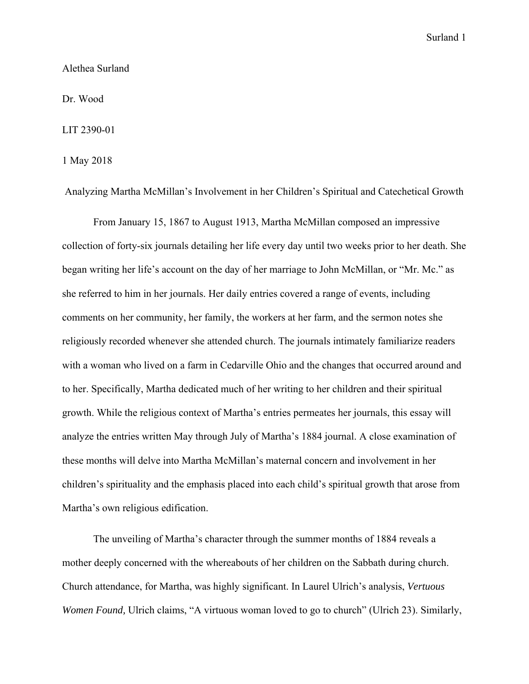Alethea Surland

Dr. Wood

LIT 2390-01

1 May 2018

Analyzing Martha McMillan's Involvement in her Children's Spiritual and Catechetical Growth

 From January 15, 1867 to August 1913, Martha McMillan composed an impressive collection of forty-six journals detailing her life every day until two weeks prior to her death. She began writing her life's account on the day of her marriage to John McMillan, or "Mr. Mc." as she referred to him in her journals. Her daily entries covered a range of events, including comments on her community, her family, the workers at her farm, and the sermon notes she religiously recorded whenever she attended church. The journals intimately familiarize readers with a woman who lived on a farm in Cedarville Ohio and the changes that occurred around and to her. Specifically, Martha dedicated much of her writing to her children and their spiritual growth. While the religious context of Martha's entries permeates her journals, this essay will analyze the entries written May through July of Martha's 1884 journal. A close examination of these months will delve into Martha McMillan's maternal concern and involvement in her children's spirituality and the emphasis placed into each child's spiritual growth that arose from Martha's own religious edification.

 The unveiling of Martha's character through the summer months of 1884 reveals a mother deeply concerned with the whereabouts of her children on the Sabbath during church. Church attendance, for Martha, was highly significant. In Laurel Ulrich's analysis, *Vertuous Women Found,* Ulrich claims, "A virtuous woman loved to go to church" (Ulrich 23). Similarly,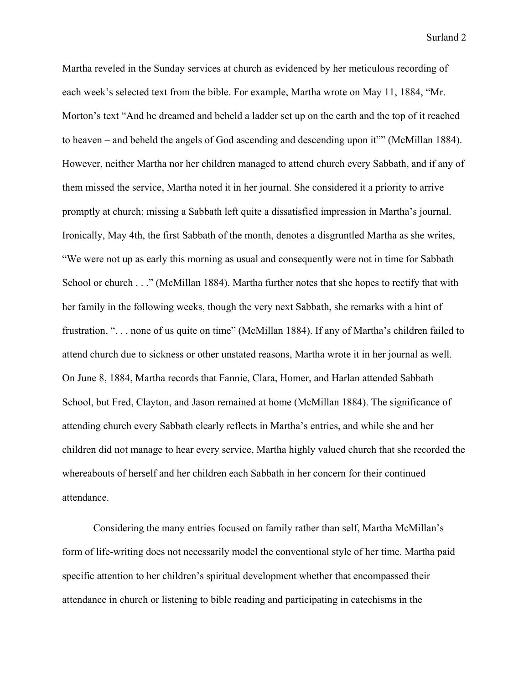Martha reveled in the Sunday services at church as evidenced by her meticulous recording of each week's selected text from the bible. For example, Martha wrote on May 11, 1884, "Mr. Morton's text "And he dreamed and beheld a ladder set up on the earth and the top of it reached to heaven – and beheld the angels of God ascending and descending upon it"" (McMillan 1884). However, neither Martha nor her children managed to attend church every Sabbath, and if any of them missed the service, Martha noted it in her journal. She considered it a priority to arrive promptly at church; missing a Sabbath left quite a dissatisfied impression in Martha's journal. Ironically, May 4th, the first Sabbath of the month, denotes a disgruntled Martha as she writes, "We were not up as early this morning as usual and consequently were not in time for Sabbath School or church . . ." (McMillan 1884). Martha further notes that she hopes to rectify that with her family in the following weeks, though the very next Sabbath, she remarks with a hint of frustration, ". . . none of us quite on time" (McMillan 1884). If any of Martha's children failed to attend church due to sickness or other unstated reasons, Martha wrote it in her journal as well. On June 8, 1884, Martha records that Fannie, Clara, Homer, and Harlan attended Sabbath School, but Fred, Clayton, and Jason remained at home (McMillan 1884). The significance of attending church every Sabbath clearly reflects in Martha's entries, and while she and her children did not manage to hear every service, Martha highly valued church that she recorded the whereabouts of herself and her children each Sabbath in her concern for their continued attendance.

 Considering the many entries focused on family rather than self, Martha McMillan's form of life-writing does not necessarily model the conventional style of her time. Martha paid specific attention to her children's spiritual development whether that encompassed their attendance in church or listening to bible reading and participating in catechisms in the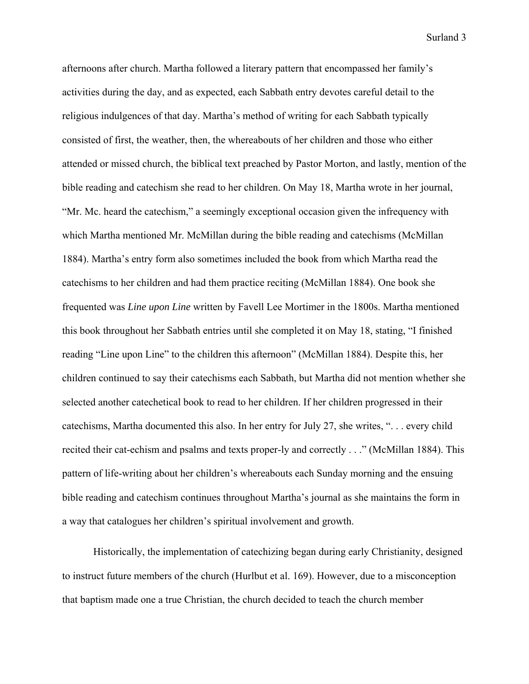afternoons after church. Martha followed a literary pattern that encompassed her family's activities during the day, and as expected, each Sabbath entry devotes careful detail to the religious indulgences of that day. Martha's method of writing for each Sabbath typically consisted of first, the weather, then, the whereabouts of her children and those who either attended or missed church, the biblical text preached by Pastor Morton, and lastly, mention of the bible reading and catechism she read to her children. On May 18, Martha wrote in her journal, "Mr. Mc. heard the catechism," a seemingly exceptional occasion given the infrequency with which Martha mentioned Mr. McMillan during the bible reading and catechisms (McMillan 1884). Martha's entry form also sometimes included the book from which Martha read the catechisms to her children and had them practice reciting (McMillan 1884). One book she frequented was *Line upon Line* written by Favell Lee Mortimer in the 1800s. Martha mentioned this book throughout her Sabbath entries until she completed it on May 18, stating, "I finished reading "Line upon Line" to the children this afternoon" (McMillan 1884). Despite this, her children continued to say their catechisms each Sabbath, but Martha did not mention whether she selected another catechetical book to read to her children. If her children progressed in their catechisms, Martha documented this also. In her entry for July 27, she writes, ". . . every child recited their cat-echism and psalms and texts proper-ly and correctly . . ." (McMillan 1884). This pattern of life-writing about her children's whereabouts each Sunday morning and the ensuing bible reading and catechism continues throughout Martha's journal as she maintains the form in a way that catalogues her children's spiritual involvement and growth.

 Historically, the implementation of catechizing began during early Christianity, designed to instruct future members of the church (Hurlbut et al. 169). However, due to a misconception that baptism made one a true Christian, the church decided to teach the church member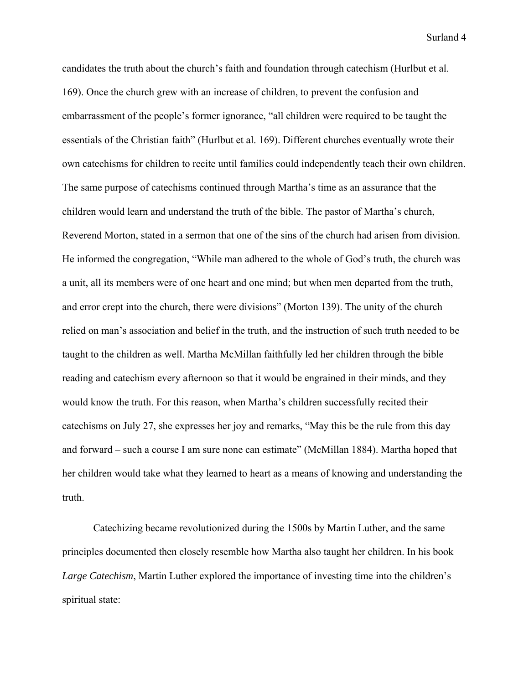candidates the truth about the church's faith and foundation through catechism (Hurlbut et al. 169). Once the church grew with an increase of children, to prevent the confusion and embarrassment of the people's former ignorance, "all children were required to be taught the essentials of the Christian faith" (Hurlbut et al. 169). Different churches eventually wrote their own catechisms for children to recite until families could independently teach their own children. The same purpose of catechisms continued through Martha's time as an assurance that the children would learn and understand the truth of the bible. The pastor of Martha's church, Reverend Morton, stated in a sermon that one of the sins of the church had arisen from division. He informed the congregation, "While man adhered to the whole of God's truth, the church was a unit, all its members were of one heart and one mind; but when men departed from the truth, and error crept into the church, there were divisions" (Morton 139). The unity of the church relied on man's association and belief in the truth, and the instruction of such truth needed to be taught to the children as well. Martha McMillan faithfully led her children through the bible reading and catechism every afternoon so that it would be engrained in their minds, and they would know the truth. For this reason, when Martha's children successfully recited their catechisms on July 27, she expresses her joy and remarks, "May this be the rule from this day and forward – such a course I am sure none can estimate" (McMillan 1884). Martha hoped that her children would take what they learned to heart as a means of knowing and understanding the truth.

 Catechizing became revolutionized during the 1500s by Martin Luther, and the same principles documented then closely resemble how Martha also taught her children. In his book *Large Catechism*, Martin Luther explored the importance of investing time into the children's spiritual state: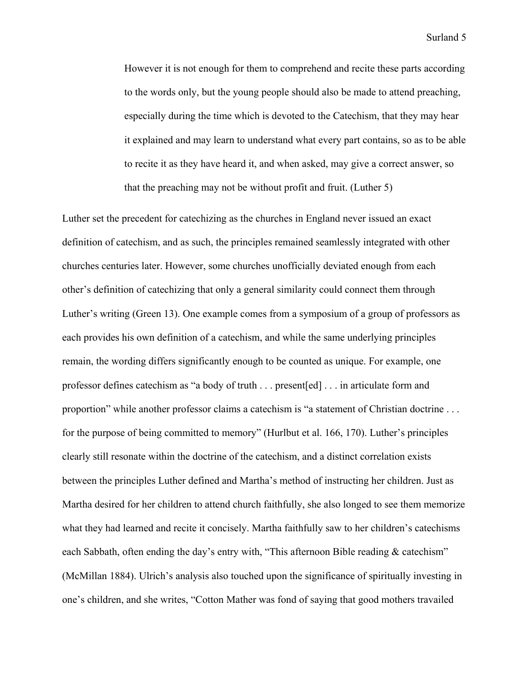However it is not enough for them to comprehend and recite these parts according to the words only, but the young people should also be made to attend preaching, especially during the time which is devoted to the Catechism, that they may hear it explained and may learn to understand what every part contains, so as to be able to recite it as they have heard it, and when asked, may give a correct answer, so that the preaching may not be without profit and fruit. (Luther 5)

Luther set the precedent for catechizing as the churches in England never issued an exact definition of catechism, and as such, the principles remained seamlessly integrated with other churches centuries later. However, some churches unofficially deviated enough from each other's definition of catechizing that only a general similarity could connect them through Luther's writing (Green 13). One example comes from a symposium of a group of professors as each provides his own definition of a catechism, and while the same underlying principles remain, the wording differs significantly enough to be counted as unique. For example, one professor defines catechism as "a body of truth . . . present[ed] . . . in articulate form and proportion" while another professor claims a catechism is "a statement of Christian doctrine . . . for the purpose of being committed to memory" (Hurlbut et al. 166, 170). Luther's principles clearly still resonate within the doctrine of the catechism, and a distinct correlation exists between the principles Luther defined and Martha's method of instructing her children. Just as Martha desired for her children to attend church faithfully, she also longed to see them memorize what they had learned and recite it concisely. Martha faithfully saw to her children's catechisms each Sabbath, often ending the day's entry with, "This afternoon Bible reading & catechism" (McMillan 1884). Ulrich's analysis also touched upon the significance of spiritually investing in one's children, and she writes, "Cotton Mather was fond of saying that good mothers travailed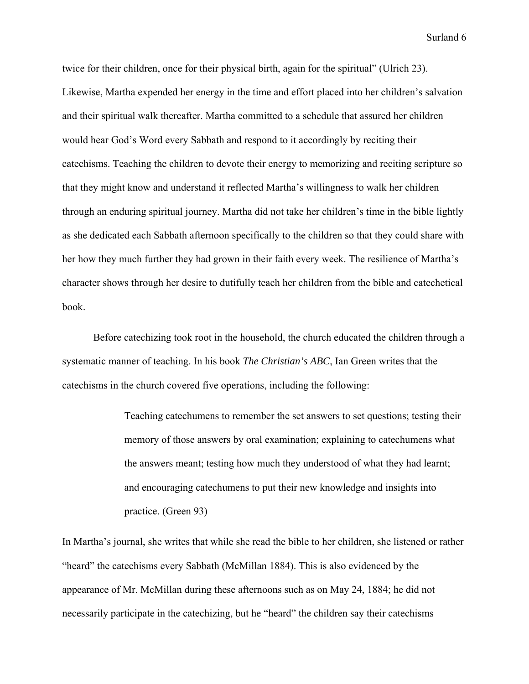twice for their children, once for their physical birth, again for the spiritual" (Ulrich 23). Likewise, Martha expended her energy in the time and effort placed into her children's salvation and their spiritual walk thereafter. Martha committed to a schedule that assured her children would hear God's Word every Sabbath and respond to it accordingly by reciting their catechisms. Teaching the children to devote their energy to memorizing and reciting scripture so that they might know and understand it reflected Martha's willingness to walk her children through an enduring spiritual journey. Martha did not take her children's time in the bible lightly as she dedicated each Sabbath afternoon specifically to the children so that they could share with her how they much further they had grown in their faith every week. The resilience of Martha's character shows through her desire to dutifully teach her children from the bible and catechetical book.

 Before catechizing took root in the household, the church educated the children through a systematic manner of teaching. In his book *The Christian's ABC*, Ian Green writes that the catechisms in the church covered five operations, including the following:

> Teaching catechumens to remember the set answers to set questions; testing their memory of those answers by oral examination; explaining to catechumens what the answers meant; testing how much they understood of what they had learnt; and encouraging catechumens to put their new knowledge and insights into practice. (Green 93)

In Martha's journal, she writes that while she read the bible to her children, she listened or rather "heard" the catechisms every Sabbath (McMillan 1884). This is also evidenced by the appearance of Mr. McMillan during these afternoons such as on May 24, 1884; he did not necessarily participate in the catechizing, but he "heard" the children say their catechisms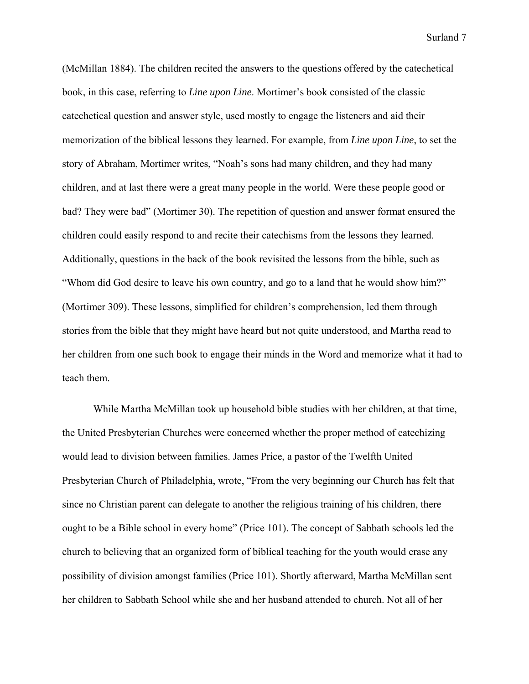(McMillan 1884). The children recited the answers to the questions offered by the catechetical book, in this case, referring to *Line upon Line*. Mortimer's book consisted of the classic catechetical question and answer style, used mostly to engage the listeners and aid their memorization of the biblical lessons they learned. For example, from *Line upon Line*, to set the story of Abraham, Mortimer writes, "Noah's sons had many children, and they had many children, and at last there were a great many people in the world. Were these people good or bad? They were bad" (Mortimer 30). The repetition of question and answer format ensured the children could easily respond to and recite their catechisms from the lessons they learned. Additionally, questions in the back of the book revisited the lessons from the bible, such as "Whom did God desire to leave his own country, and go to a land that he would show him?" (Mortimer 309). These lessons, simplified for children's comprehension, led them through stories from the bible that they might have heard but not quite understood, and Martha read to her children from one such book to engage their minds in the Word and memorize what it had to teach them.

 While Martha McMillan took up household bible studies with her children, at that time, the United Presbyterian Churches were concerned whether the proper method of catechizing would lead to division between families. James Price, a pastor of the Twelfth United Presbyterian Church of Philadelphia, wrote, "From the very beginning our Church has felt that since no Christian parent can delegate to another the religious training of his children, there ought to be a Bible school in every home" (Price 101). The concept of Sabbath schools led the church to believing that an organized form of biblical teaching for the youth would erase any possibility of division amongst families (Price 101). Shortly afterward, Martha McMillan sent her children to Sabbath School while she and her husband attended to church. Not all of her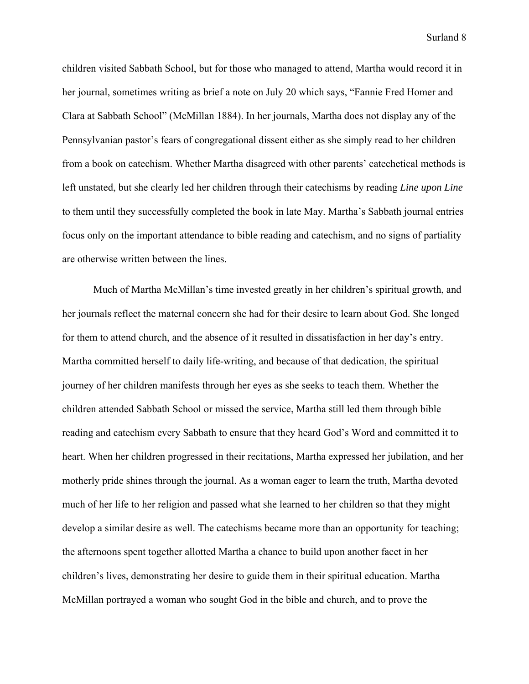children visited Sabbath School, but for those who managed to attend, Martha would record it in her journal, sometimes writing as brief a note on July 20 which says, "Fannie Fred Homer and Clara at Sabbath School" (McMillan 1884). In her journals, Martha does not display any of the Pennsylvanian pastor's fears of congregational dissent either as she simply read to her children from a book on catechism. Whether Martha disagreed with other parents' catechetical methods is left unstated, but she clearly led her children through their catechisms by reading *Line upon Line* to them until they successfully completed the book in late May. Martha's Sabbath journal entries focus only on the important attendance to bible reading and catechism, and no signs of partiality are otherwise written between the lines.

 Much of Martha McMillan's time invested greatly in her children's spiritual growth, and her journals reflect the maternal concern she had for their desire to learn about God. She longed for them to attend church, and the absence of it resulted in dissatisfaction in her day's entry. Martha committed herself to daily life-writing, and because of that dedication, the spiritual journey of her children manifests through her eyes as she seeks to teach them. Whether the children attended Sabbath School or missed the service, Martha still led them through bible reading and catechism every Sabbath to ensure that they heard God's Word and committed it to heart. When her children progressed in their recitations, Martha expressed her jubilation, and her motherly pride shines through the journal. As a woman eager to learn the truth, Martha devoted much of her life to her religion and passed what she learned to her children so that they might develop a similar desire as well. The catechisms became more than an opportunity for teaching; the afternoons spent together allotted Martha a chance to build upon another facet in her children's lives, demonstrating her desire to guide them in their spiritual education. Martha McMillan portrayed a woman who sought God in the bible and church, and to prove the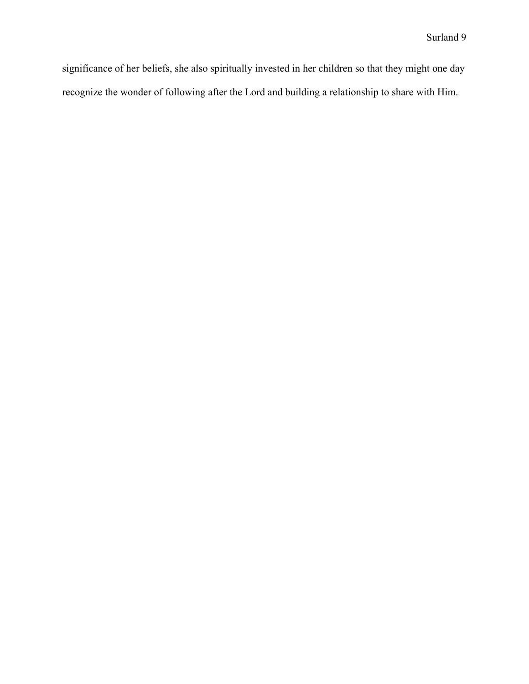significance of her beliefs, she also spiritually invested in her children so that they might one day recognize the wonder of following after the Lord and building a relationship to share with Him.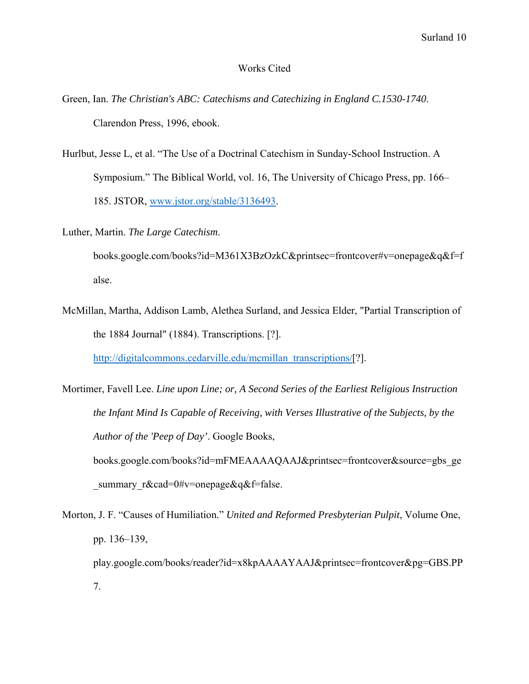### Works Cited

- Green, Ian. *The Christian's ABC: Catechisms and Catechizing in England C.1530-1740*. Clarendon Press, 1996, ebook.
- Hurlbut, Jesse L, et al. "The Use of a Doctrinal Catechism in Sunday-School Instruction. A Symposium." The Biblical World, vol. 16, The University of Chicago Press, pp. 166– 185. JSTOR, www.jstor.org/stable/3136493.
- Luther, Martin. *The Large Catechism*.

books.google.com/books?id=M361X3BzOzkC&printsec=frontcover#v=onepage&q&f=f alse.

McMillan, Martha, Addison Lamb, Alethea Surland, and Jessica Elder, "Partial Transcription of the 1884 Journal" (1884). Transcriptions. [?].

http://digitalcommons.cedarville.edu/mcmillan\_transcriptions/[?].

Morton, J. F. "Causes of Humiliation." *United and Reformed Presbyterian Pulpit*, Volume One, pp. 136–139, play.google.com/books/reader?id=x8kpAAAAYAAJ&printsec=frontcover&pg=GBS.PP 7.

Mortimer, Favell Lee. *Line upon Line; or, A Second Series of the Earliest Religious Instruction the Infant Mind Is Capable of Receiving, with Verses Illustrative of the Subjects, by the Author of the 'Peep of Day'*. Google Books, books.google.com/books?id=mFMEAAAAQAAJ&printsec=frontcover&source=gbs\_ge summary r&cad=0#v=onepage&q&f=false.